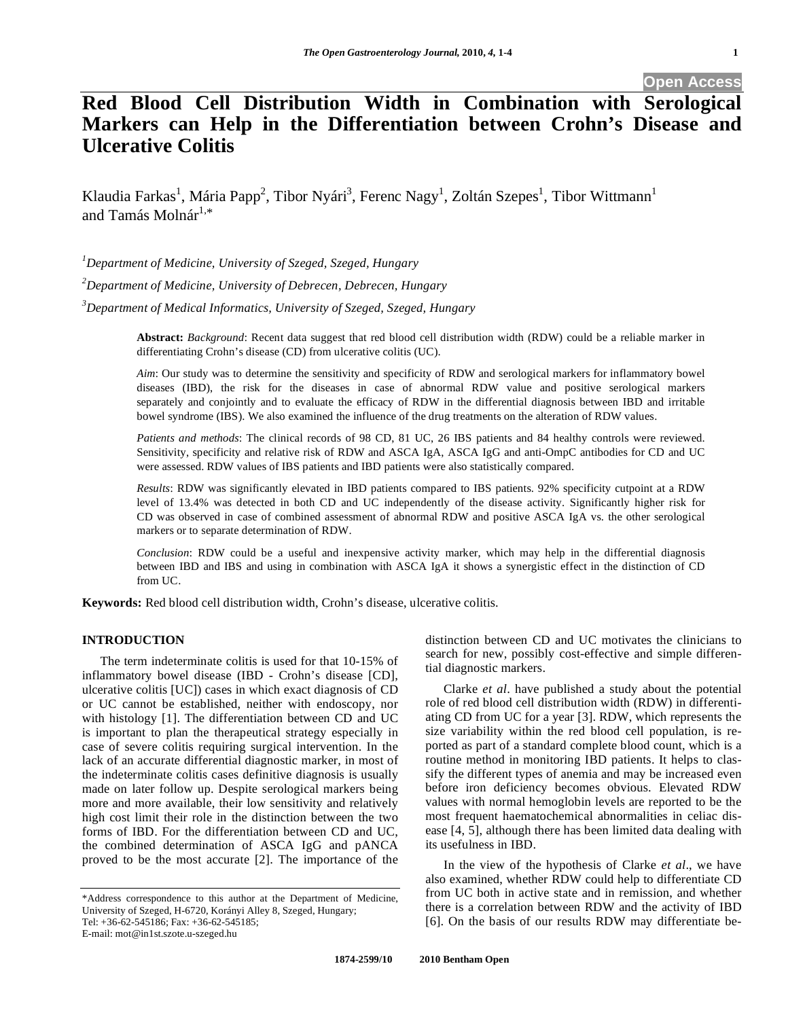**Open Access** 

# **Red Blood Cell Distribution Width in Combination with Serological Markers can Help in the Differentiation between Crohn's Disease and Ulcerative Colitis**

Klaudia Farkas<sup>1</sup>, Mária Papp<sup>2</sup>, Tibor Nyári<sup>3</sup>, Ferenc Nagy<sup>1</sup>, Zoltán Szepes<sup>1</sup>, Tibor Wittmann<sup>1</sup> and Tamás Molnár $1,*$ 

*1 Department of Medicine, University of Szeged, Szeged, Hungary* 

*2 Department of Medicine, University of Debrecen, Debrecen, Hungary* 

*3 Department of Medical Informatics, University of Szeged, Szeged, Hungary* 

**Abstract:** *Background*: Recent data suggest that red blood cell distribution width (RDW) could be a reliable marker in differentiating Crohn's disease (CD) from ulcerative colitis (UC).

*Aim*: Our study was to determine the sensitivity and specificity of RDW and serological markers for inflammatory bowel diseases (IBD), the risk for the diseases in case of abnormal RDW value and positive serological markers separately and conjointly and to evaluate the efficacy of RDW in the differential diagnosis between IBD and irritable bowel syndrome (IBS). We also examined the influence of the drug treatments on the alteration of RDW values.

*Patients and methods*: The clinical records of 98 CD, 81 UC, 26 IBS patients and 84 healthy controls were reviewed. Sensitivity, specificity and relative risk of RDW and ASCA IgA, ASCA IgG and anti-OmpC antibodies for CD and UC were assessed. RDW values of IBS patients and IBD patients were also statistically compared.

*Results*: RDW was significantly elevated in IBD patients compared to IBS patients. 92% specificity cutpoint at a RDW level of 13.4% was detected in both CD and UC independently of the disease activity. Significantly higher risk for CD was observed in case of combined assessment of abnormal RDW and positive ASCA IgA vs. the other serological markers or to separate determination of RDW.

*Conclusion*: RDW could be a useful and inexpensive activity marker, which may help in the differential diagnosis between IBD and IBS and using in combination with ASCA IgA it shows a synergistic effect in the distinction of CD from UC.

**Keywords:** Red blood cell distribution width, Crohn's disease, ulcerative colitis.

## **INTRODUCTION**

 The term indeterminate colitis is used for that 10-15% of inflammatory bowel disease (IBD - Crohn's disease [CD], ulcerative colitis [UC]) cases in which exact diagnosis of CD or UC cannot be established, neither with endoscopy, nor with histology [1]. The differentiation between CD and UC is important to plan the therapeutical strategy especially in case of severe colitis requiring surgical intervention. In the lack of an accurate differential diagnostic marker, in most of the indeterminate colitis cases definitive diagnosis is usually made on later follow up. Despite serological markers being more and more available, their low sensitivity and relatively high cost limit their role in the distinction between the two forms of IBD. For the differentiation between CD and UC, the combined determination of ASCA IgG and pANCA proved to be the most accurate [2]. The importance of the

distinction between CD and UC motivates the clinicians to search for new, possibly cost-effective and simple differential diagnostic markers.

 Clarke *et al*. have published a study about the potential role of red blood cell distribution width (RDW) in differentiating CD from UC for a year [3]. RDW, which represents the size variability within the red blood cell population, is reported as part of a standard complete blood count, which is a routine method in monitoring IBD patients. It helps to classify the different types of anemia and may be increased even before iron deficiency becomes obvious. Elevated RDW values with normal hemoglobin levels are reported to be the most frequent haematochemical abnormalities in celiac disease [4, 5], although there has been limited data dealing with its usefulness in IBD.

 In the view of the hypothesis of Clarke *et al*., we have also examined, whether RDW could help to differentiate CD from UC both in active state and in remission, and whether there is a correlation between RDW and the activity of IBD [6]. On the basis of our results RDW may differentiate be-

<sup>\*</sup>Address correspondence to this author at the Department of Medicine, University of Szeged, H-6720, Korányi Alley 8, Szeged, Hungary; Tel: +36-62-545186; Fax: +36-62-545185;

E-mail: mot@in1st.szote.u-szeged.hu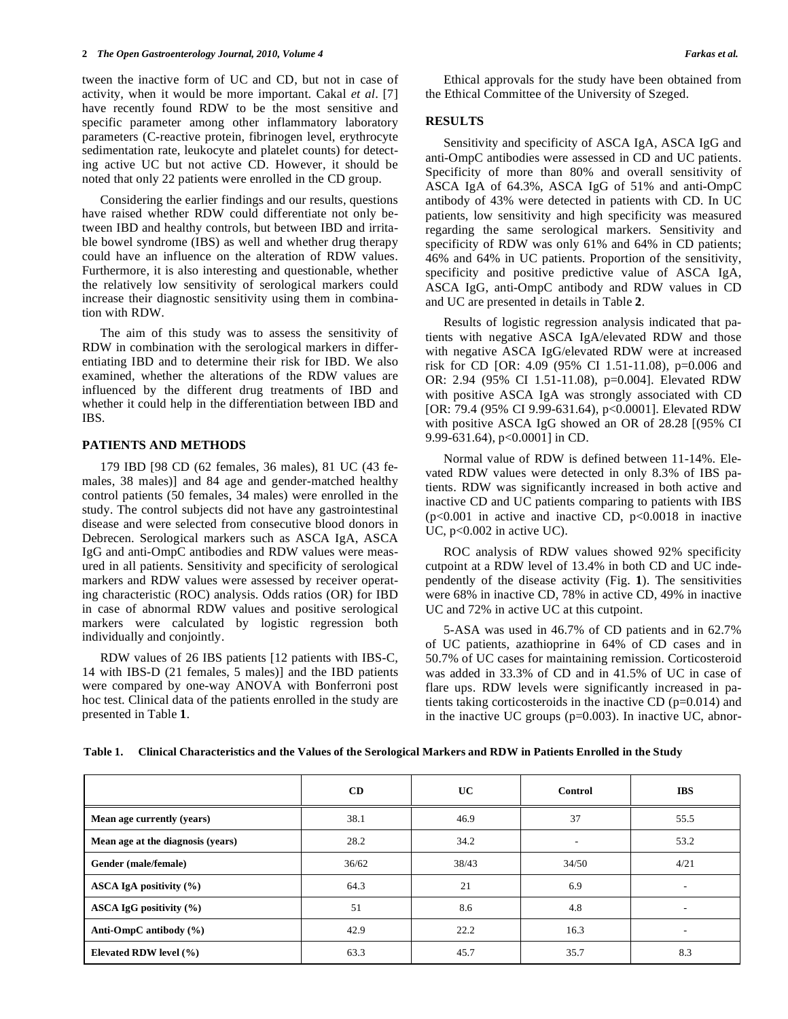tween the inactive form of UC and CD, but not in case of activity, when it would be more important. Cakal *et al*. [7] have recently found RDW to be the most sensitive and specific parameter among other inflammatory laboratory parameters (C-reactive protein, fibrinogen level, erythrocyte sedimentation rate, leukocyte and platelet counts) for detecting active UC but not active CD. However, it should be noted that only 22 patients were enrolled in the CD group.

 Considering the earlier findings and our results, questions have raised whether RDW could differentiate not only between IBD and healthy controls, but between IBD and irritable bowel syndrome (IBS) as well and whether drug therapy could have an influence on the alteration of RDW values. Furthermore, it is also interesting and questionable, whether the relatively low sensitivity of serological markers could increase their diagnostic sensitivity using them in combination with RDW.

 The aim of this study was to assess the sensitivity of RDW in combination with the serological markers in differentiating IBD and to determine their risk for IBD. We also examined, whether the alterations of the RDW values are influenced by the different drug treatments of IBD and whether it could help in the differentiation between IBD and IBS.

### **PATIENTS AND METHODS**

179 IBD [98 CD (62 females, 36 males), 81 UC (43 females, 38 males)] and 84 age and gender-matched healthy control patients (50 females, 34 males) were enrolled in the study. The control subjects did not have any gastrointestinal disease and were selected from consecutive blood donors in Debrecen. Serological markers such as ASCA IgA, ASCA IgG and anti-OmpC antibodies and RDW values were measured in all patients. Sensitivity and specificity of serological markers and RDW values were assessed by receiver operating characteristic (ROC) analysis. Odds ratios (OR) for IBD in case of abnormal RDW values and positive serological markers were calculated by logistic regression both individually and conjointly.

 RDW values of 26 IBS patients [12 patients with IBS-C, 14 with IBS-D (21 females, 5 males)] and the IBD patients were compared by one-way ANOVA with Bonferroni post hoc test. Clinical data of the patients enrolled in the study are presented in Table **1**.

 Ethical approvals for the study have been obtained from the Ethical Committee of the University of Szeged.

### **RESULTS**

 Sensitivity and specificity of ASCA IgA, ASCA IgG and anti-OmpC antibodies were assessed in CD and UC patients. Specificity of more than 80% and overall sensitivity of ASCA IgA of 64.3%, ASCA IgG of 51% and anti-OmpC antibody of 43% were detected in patients with CD. In UC patients, low sensitivity and high specificity was measured regarding the same serological markers. Sensitivity and specificity of RDW was only 61% and 64% in CD patients; 46% and 64% in UC patients. Proportion of the sensitivity, specificity and positive predictive value of ASCA IgA, ASCA IgG, anti-OmpC antibody and RDW values in CD and UC are presented in details in Table **2**.

 Results of logistic regression analysis indicated that patients with negative ASCA IgA/elevated RDW and those with negative ASCA IgG/elevated RDW were at increased risk for CD [OR: 4.09 (95% CI 1.51-11.08), p=0.006 and OR: 2.94 (95% CI 1.51-11.08), p=0.004]. Elevated RDW with positive ASCA IgA was strongly associated with CD [OR: 79.4 (95% CI 9.99-631.64), p<0.0001]. Elevated RDW with positive ASCA IgG showed an OR of 28.28 [(95% CI 9.99-631.64), p<0.0001] in CD.

 Normal value of RDW is defined between 11-14%. Elevated RDW values were detected in only 8.3% of IBS patients. RDW was significantly increased in both active and inactive CD and UC patients comparing to patients with IBS  $(p<0.001$  in active and inactive CD,  $p<0.0018$  in inactive UC,  $p<0.002$  in active UC).

 ROC analysis of RDW values showed 92% specificity cutpoint at a RDW level of 13.4% in both CD and UC independently of the disease activity (Fig. **1**). The sensitivities were 68% in inactive CD, 78% in active CD, 49% in inactive UC and 72% in active UC at this cutpoint.

 5-ASA was used in 46.7% of CD patients and in 62.7% of UC patients, azathioprine in 64% of CD cases and in 50.7% of UC cases for maintaining remission. Corticosteroid was added in 33.3% of CD and in 41.5% of UC in case of flare ups. RDW levels were significantly increased in patients taking corticosteroids in the inactive CD (p=0.014) and in the inactive UC groups (p=0.003). In inactive UC, abnor-

|                                   | CD    | UC.   | Control                  | <b>IBS</b> |
|-----------------------------------|-------|-------|--------------------------|------------|
| Mean age currently (years)        | 38.1  | 46.9  | 37                       | 55.5       |
| Mean age at the diagnosis (years) | 28.2  | 34.2  | $\overline{\phantom{a}}$ | 53.2       |
| Gender (male/female)              | 36/62 | 38/43 | 34/50                    | 4/21       |
| ASCA IgA positivity (%)           | 64.3  | 21    | 6.9                      | ۰.         |
| ASCA IgG positivity $(\% )$       | 51    | 8.6   | 4.8                      |            |
| Anti-OmpC antibody $(\% )$        | 42.9  | 22.2  | 16.3                     |            |
| Elevated RDW level $(\% )$        | 63.3  | 45.7  | 35.7                     | 8.3        |

**Table 1. Clinical Characteristics and the Values of the Serological Markers and RDW in Patients Enrolled in the Study**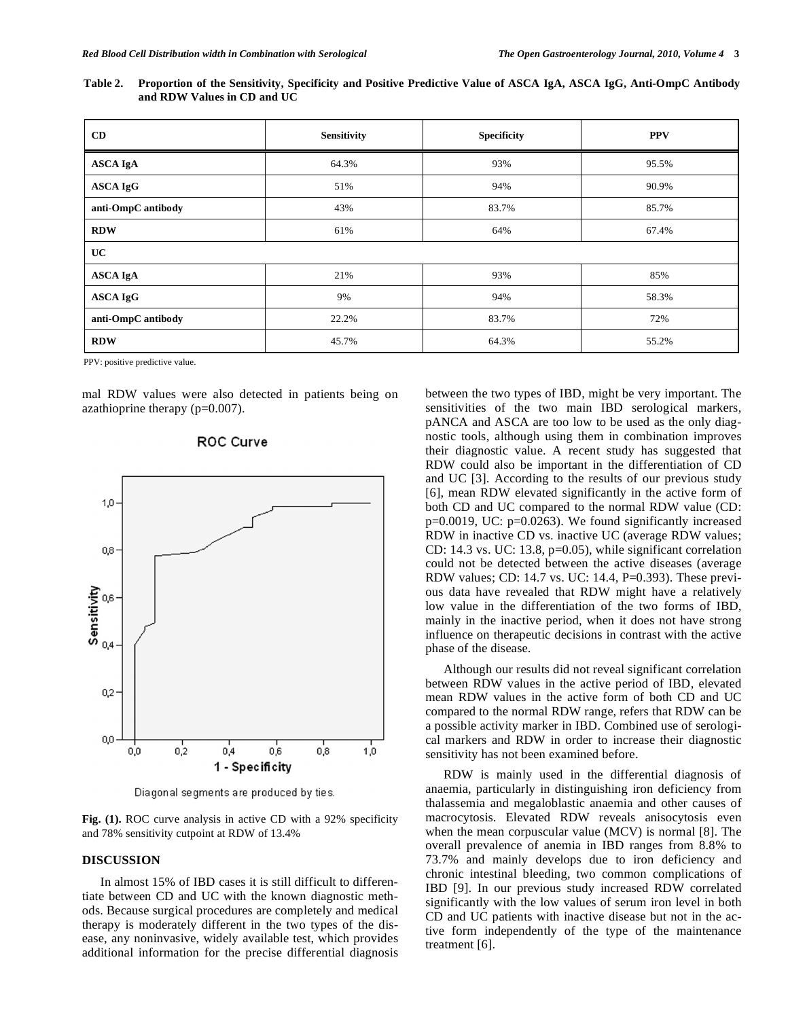| Table 2. Proportion of the Sensitivity, Specificity and Positive Predictive Value of ASCA IgA, ASCA IgG, Anti-OmpC Antibody |  |  |
|-----------------------------------------------------------------------------------------------------------------------------|--|--|
| and RDW Values in CD and UC                                                                                                 |  |  |

| CD                 | <b>Sensitivity</b> | <b>Specificity</b> | <b>PPV</b> |
|--------------------|--------------------|--------------------|------------|
| <b>ASCA IgA</b>    | 64.3%              | 93%                | 95.5%      |
| <b>ASCA IgG</b>    | 51%                | 94%                | 90.9%      |
| anti-OmpC antibody | 43%                | 83.7%              | 85.7%      |
| <b>RDW</b>         | 61%                | 64%                | 67.4%      |
| UC                 |                    |                    |            |
| <b>ASCA IgA</b>    | 21%                | 93%                | 85%        |
| <b>ASCA IgG</b>    | 9%                 | 94%                | 58.3%      |
| anti-OmpC antibody | 22.2%              | 83.7%              | 72%        |
| <b>RDW</b>         | 45.7%              | 64.3%              | 55.2%      |

PPV: positive predictive value.

mal RDW values were also detected in patients being on azathioprine therapy (p=0.007).

# $1,0$  $_{0,8}$ Sensitivity 0,6  $0,4$  $0,2$  $0.0$  $0.2$  $0.0$  $0.4$  $0,6$  $0,8$  $1,0$ 1 - Specificity

# **ROC Curve**

Diagonal segments are produced by ties.

**Fig. (1).** ROC curve analysis in active CD with a 92% specificity and 78% sensitivity cutpoint at RDW of 13.4%

### **DISCUSSION**

 In almost 15% of IBD cases it is still difficult to differentiate between CD and UC with the known diagnostic methods. Because surgical procedures are completely and medical therapy is moderately different in the two types of the disease, any noninvasive, widely available test, which provides additional information for the precise differential diagnosis between the two types of IBD, might be very important. The sensitivities of the two main IBD serological markers, pANCA and ASCA are too low to be used as the only diagnostic tools, although using them in combination improves their diagnostic value. A recent study has suggested that RDW could also be important in the differentiation of CD and UC [3]. According to the results of our previous study [6], mean RDW elevated significantly in the active form of both CD and UC compared to the normal RDW value (CD: p=0.0019, UC: p=0.0263). We found significantly increased RDW in inactive CD vs. inactive UC (average RDW values; CD: 14.3 vs. UC: 13.8, p=0.05), while significant correlation could not be detected between the active diseases (average RDW values; CD: 14.7 vs. UC: 14.4, P=0.393). These previous data have revealed that RDW might have a relatively low value in the differentiation of the two forms of IBD, mainly in the inactive period, when it does not have strong influence on therapeutic decisions in contrast with the active phase of the disease.

 Although our results did not reveal significant correlation between RDW values in the active period of IBD, elevated mean RDW values in the active form of both CD and UC compared to the normal RDW range, refers that RDW can be a possible activity marker in IBD. Combined use of serological markers and RDW in order to increase their diagnostic sensitivity has not been examined before.

 RDW is mainly used in the differential diagnosis of anaemia, particularly in distinguishing iron deficiency from thalassemia and megaloblastic anaemia and other causes of macrocytosis. Elevated RDW reveals anisocytosis even when the mean corpuscular value (MCV) is normal [8]. The overall prevalence of anemia in IBD ranges from 8.8% to 73.7% and mainly develops due to iron deficiency and chronic intestinal bleeding, two common complications of IBD [9]. In our previous study increased RDW correlated significantly with the low values of serum iron level in both CD and UC patients with inactive disease but not in the active form independently of the type of the maintenance treatment [6].